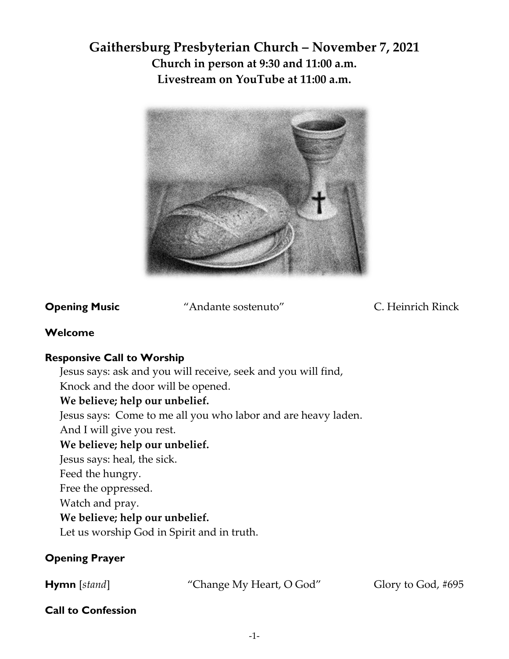# **Gaithersburg Presbyterian Church – November 7, 2021 Church in person at 9:30 and 11:00 a.m. Livestream on YouTube at 11:00 a.m.**



**Opening Music** "Andante sostenuto" C. Heinrich Rinck

## **Welcome**

# **Responsive Call to Worship**

Jesus says: ask and you will receive, seek and you will find,

Knock and the door will be opened.

# **We believe; help our unbelief.**

Jesus says: Come to me all you who labor and are heavy laden.

And I will give you rest.

# **We believe; help our unbelief.**

Jesus says: heal, the sick.

Feed the hungry.

Free the oppressed.

Watch and pray.

# **We believe; help our unbelief.**

Let us worship God in Spirit and in truth.

# **Opening Prayer**

**Hymn** [*stand*] "Change My Heart, O God" Glory to God, #695

# **Call to Confession**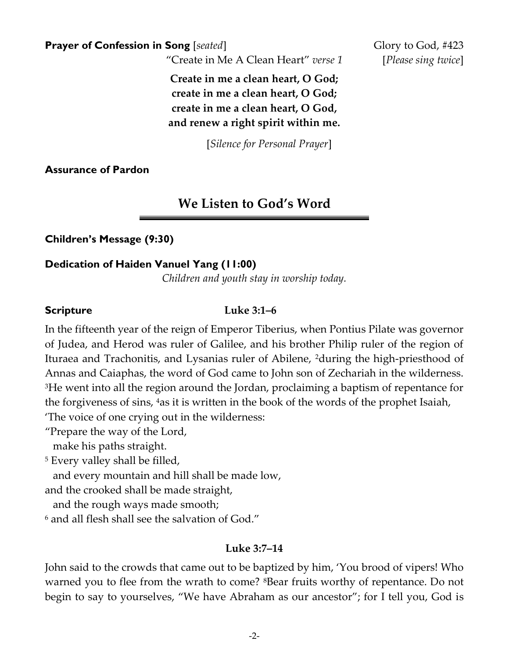**Prayer of Confession in Song** [*seated*] Glory to God, #423

"Create in Me A Clean Heart" *verse 1* [*Please sing twice*]

**Create in me a clean heart, O God; create in me a clean heart, O God; create in me a clean heart, O God, and renew a right spirit within me.**

[*Silence for Personal Prayer*]

### **Assurance of Pardon**

# **We Listen to God's Word**

**Children's Message (9:30)**

### **Dedication of Haiden Vanuel Yang (11:00)**

*Children and youth stay in worship today.* 

### **Scripture Luke 3:1–6**

In the fifteenth year of the reign of Emperor Tiberius, when Pontius Pilate was governor of Judea, and Herod was ruler of Galilee, and his brother Philip ruler of the region of Ituraea and Trachonitis, and Lysanias ruler of Abilene, 2during the high-priesthood of Annas and Caiaphas, the word of God came to John son of Zechariah in the wilderness. <sup>3</sup>He went into all the region around the Jordan, proclaiming a baptism of repentance for the forgiveness of sins, 4as it is written in the book of the words of the prophet Isaiah,

'The voice of one crying out in the wilderness:

"Prepare the way of the Lord,

make his paths straight.

<sup>5</sup> Every valley shall be filled,

and every mountain and hill shall be made low,

and the crooked shall be made straight,

and the rough ways made smooth;

<sup>6</sup> and all flesh shall see the salvation of God."

### **Luke 3:7–14**

John said to the crowds that came out to be baptized by him, 'You brood of vipers! Who warned you to flee from the wrath to come? <sup>8</sup>Bear fruits worthy of repentance. Do not begin to say to yourselves, "We have Abraham as our ancestor"; for I tell you, God is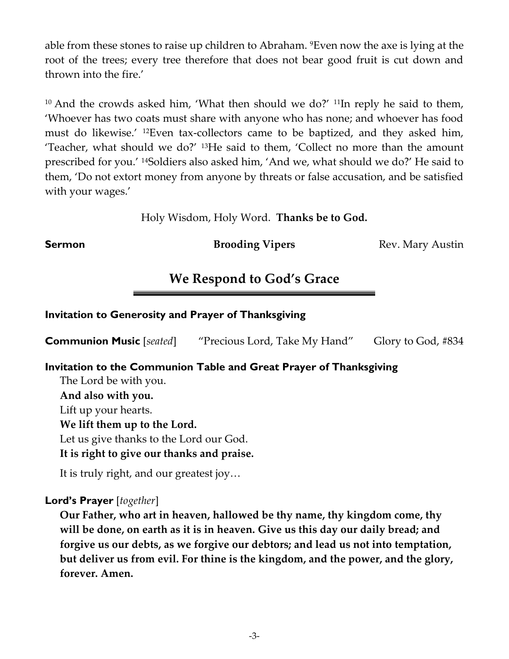able from these stones to raise up children to Abraham. 9Even now the axe is lying at the root of the trees; every tree therefore that does not bear good fruit is cut down and thrown into the fire.'

 $10$  And the crowds asked him, 'What then should we do?'  $11$ In reply he said to them, 'Whoever has two coats must share with anyone who has none; and whoever has food must do likewise.' 12Even tax-collectors came to be baptized, and they asked him, 'Teacher, what should we do?' 13He said to them, 'Collect no more than the amount prescribed for you.' 14Soldiers also asked him, 'And we, what should we do?' He said to them, 'Do not extort money from anyone by threats or false accusation, and be satisfied with your wages.'

Holy Wisdom, Holy Word. **Thanks be to God.**

**Sermon Brooding Vipers** Rev. Mary Austin

# **We Respond to God's Grace**

## **Invitation to Generosity and Prayer of Thanksgiving**

**Communion Music** [*seated*] "Precious Lord, Take My Hand" Glory to God, #834

### **Invitation to the Communion Table and Great Prayer of Thanksgiving**

The Lord be with you. **And also with you.** Lift up your hearts. **We lift them up to the Lord.** Let us give thanks to the Lord our God. **It is right to give our thanks and praise.**

It is truly right, and our greatest joy…

**Lord's Prayer** [*together*]

**Our Father, who art in heaven, hallowed be thy name, thy kingdom come, thy will be done, on earth as it is in heaven. Give us this day our daily bread; and forgive us our debts, as we forgive our debtors; and lead us not into temptation, but deliver us from evil. For thine is the kingdom, and the power, and the glory, forever. Amen.**